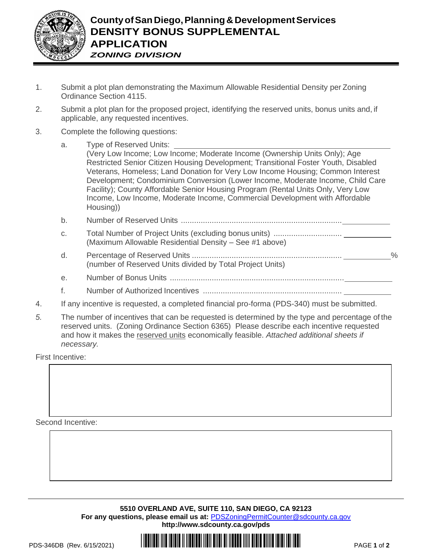

- 1. Submit a plot plan demonstrating the Maximum Allowable Residential Density per Zoning Ordinance Section 4115.
- 2. Submit a plot plan for the proposed project, identifying the reserved units, bonus units and, if applicable, any requested incentives.
- 3. Complete the following questions:
	- a. Type of Reserved Units:

(Very Low Income; Low Income; Moderate Income (Ownership Units Only); Age Restricted Senior Citizen Housing Development; Transitional Foster Youth, Disabled Veterans, Homeless; Land Donation for Very Low Income Housing; Common Interest Development; Condominium Conversion (Lower Income, Moderate Income, Child Care Facility); County Affordable Senior Housing Program (Rental Units Only, Very Low Income, Low Income, Moderate Income, Commercial Development with Affordable Housing))

- b. Number of Reserved Units .........................................................................
- c. Total Number of Project Units (excluding bonus units) ............................... (Maximum Allowable Residential Density – See #1 above)
- d. Percentage of Reserved Units .................................................................... % (number of Reserved Units divided by Total Project Units)
- e. Number of Bonus Units ...............................................................................
- f. Number of Authorized Incentives ...............................................................
- 4. If any incentive is requested, a completed financial pro-forma (PDS-340) must be submitted.
- *5.* The number of incentives that can be requested is determined by the type and percentage of the reserved units. (Zoning Ordinance Section 6365) Please describe each incentive requested and how it makes the reserved units economically feasible. *Attached additional sheets if necessary.*

First Incentive:

Second Incentive: